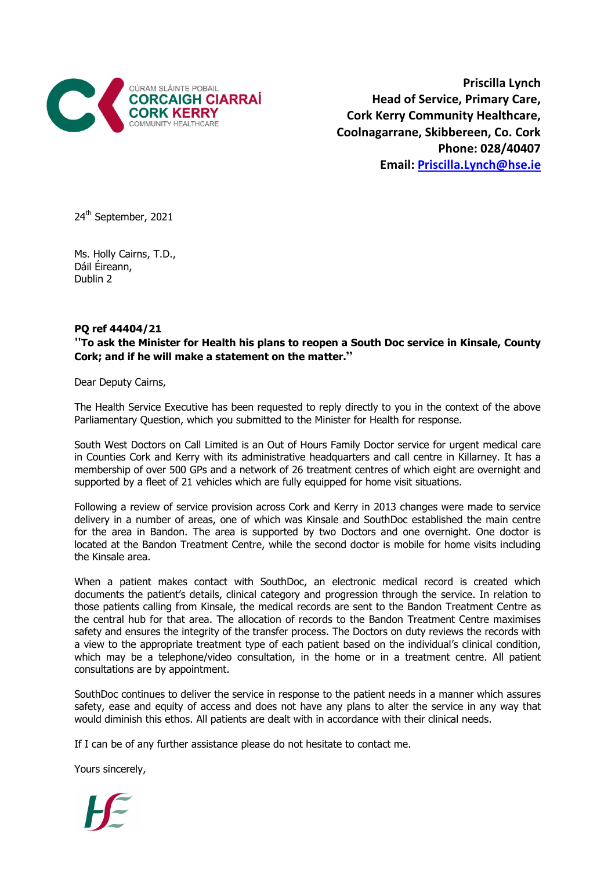

Priscilla Lynch Head of Service, Primary Care, Cork Kerry Community Healthcare, Coolnagarrane, Skibbereen, Co. Cork Phone: 028/40407 Email: Priscilla.Lynch@hse.ie

24<sup>th</sup> September, 2021

Ms. Holly Cairns, T.D., Dáil Éireann, Dublin 2

## PQ ref 44404/21

**"**To ask the Minister for Health his plans to reopen a South Doc service in Kinsale, County Cork; and if he will make a statement on the matter.**"**

Dear Deputy Cairns,

The Health Service Executive has been requested to reply directly to you in the context of the above Parliamentary Question, which you submitted to the Minister for Health for response.

South West Doctors on Call Limited is an Out of Hours Family Doctor service for urgent medical care in Counties Cork and Kerry with its administrative headquarters and call centre in Killarney. It has a membership of over 500 GPs and a network of 26 treatment centres of which eight are overnight and supported by a fleet of 21 vehicles which are fully equipped for home visit situations.

Following a review of service provision across Cork and Kerry in 2013 changes were made to service delivery in a number of areas, one of which was Kinsale and SouthDoc established the main centre for the area in Bandon. The area is supported by two Doctors and one overnight. One doctor is located at the Bandon Treatment Centre, while the second doctor is mobile for home visits including the Kinsale area.

When a patient makes contact with SouthDoc, an electronic medical record is created which documents the patient's details, clinical category and progression through the service. In relation to those patients calling from Kinsale, the medical records are sent to the Bandon Treatment Centre as the central hub for that area. The allocation of records to the Bandon Treatment Centre maximises safety and ensures the integrity of the transfer process. The Doctors on duty reviews the records with a view to the appropriate treatment type of each patient based on the individual's clinical condition, which may be a telephone/video consultation, in the home or in a treatment centre. All patient consultations are by appointment.

SouthDoc continues to deliver the service in response to the patient needs in a manner which assures safety, ease and equity of access and does not have any plans to alter the service in any way that would diminish this ethos. All patients are dealt with in accordance with their clinical needs.

If I can be of any further assistance please do not hesitate to contact me.

Yours sincerely,